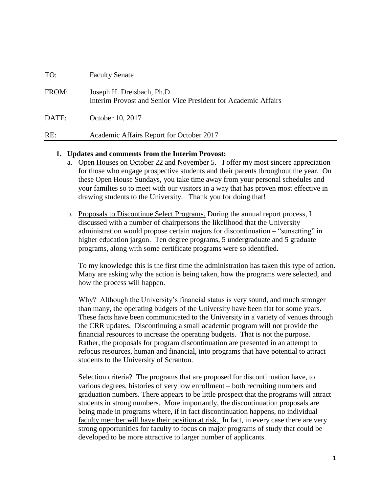| TO:   | <b>Faculty Senate</b>                                                                        |
|-------|----------------------------------------------------------------------------------------------|
| FROM: | Joseph H. Dreisbach, Ph.D.<br>Interim Provost and Senior Vice President for Academic Affairs |
| DATE: | October 10, 2017                                                                             |
| RE:   | Academic Affairs Report for October 2017                                                     |

#### **1. Updates and comments from the Interim Provost:**

- a. Open Houses on October 22 and November 5. I offer my most sincere appreciation for those who engage prospective students and their parents throughout the year. On these Open House Sundays, you take time away from your personal schedules and your families so to meet with our visitors in a way that has proven most effective in drawing students to the University. Thank you for doing that!
- b. Proposals to Discontinue Select Programs. During the annual report process, I discussed with a number of chairpersons the likelihood that the University administration would propose certain majors for discontinuation – "sunsetting" in higher education jargon. Ten degree programs, 5 undergraduate and 5 graduate programs, along with some certificate programs were so identified.

To my knowledge this is the first time the administration has taken this type of action. Many are asking why the action is being taken, how the programs were selected, and how the process will happen.

Why? Although the University's financial status is very sound, and much stronger than many, the operating budgets of the University have been flat for some years. These facts have been communicated to the University in a variety of venues through the CRR updates. Discontinuing a small academic program will not provide the financial resources to increase the operating budgets. That is not the purpose. Rather, the proposals for program discontinuation are presented in an attempt to refocus resources, human and financial, into programs that have potential to attract students to the University of Scranton.

Selection criteria? The programs that are proposed for discontinuation have, to various degrees, histories of very low enrollment – both recruiting numbers and graduation numbers. There appears to be little prospect that the programs will attract students in strong numbers. More importantly, the discontinuation proposals are being made in programs where, if in fact discontinuation happens, no individual faculty member will have their position at risk. In fact, in every case there are very strong opportunities for faculty to focus on major programs of study that could be developed to be more attractive to larger number of applicants.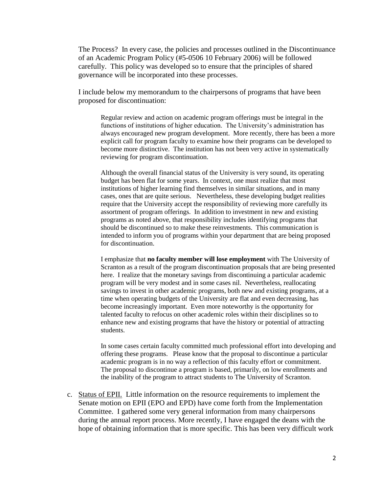The Process? In every case, the policies and processes outlined in the Discontinuance of an Academic Program Policy (#5-0506 10 February 2006) will be followed carefully. This policy was developed so to ensure that the principles of shared governance will be incorporated into these processes.

I include below my memorandum to the chairpersons of programs that have been proposed for discontinuation:

Regular review and action on academic program offerings must be integral in the functions of institutions of higher education. The University's administration has always encouraged new program development. More recently, there has been a more explicit call for program faculty to examine how their programs can be developed to become more distinctive. The institution has not been very active in systematically reviewing for program discontinuation.

Although the overall financial status of the University is very sound, its operating budget has been flat for some years. In context, one must realize that most institutions of higher learning find themselves in similar situations, and in many cases, ones that are quite serious. Nevertheless, these developing budget realities require that the University accept the responsibility of reviewing more carefully its assortment of program offerings. In addition to investment in new and existing programs as noted above, that responsibility includes identifying programs that should be discontinued so to make these reinvestments. This communication is intended to inform you of programs within your department that are being proposed for discontinuation.

I emphasize that **no faculty member will lose employment** with The University of Scranton as a result of the program discontinuation proposals that are being presented here. I realize that the monetary savings from discontinuing a particular academic program will be very modest and in some cases nil. Nevertheless, reallocating savings to invest in other academic programs, both new and existing programs, at a time when operating budgets of the University are flat and even decreasing, has become increasingly important. Even more noteworthy is the opportunity for talented faculty to refocus on other academic roles within their disciplines so to enhance new and existing programs that have the history or potential of attracting students.

In some cases certain faculty committed much professional effort into developing and offering these programs. Please know that the proposal to discontinue a particular academic program is in no way a reflection of this faculty effort or commitment. The proposal to discontinue a program is based, primarily, on low enrollments and the inability of the program to attract students to The University of Scranton.

c. Status of EPII. Little information on the resource requirements to implement the Senate motion on EPII (EPO and EPD) have come forth from the Implementation Committee. I gathered some very general information from many chairpersons during the annual report process. More recently, I have engaged the deans with the hope of obtaining information that is more specific. This has been very difficult work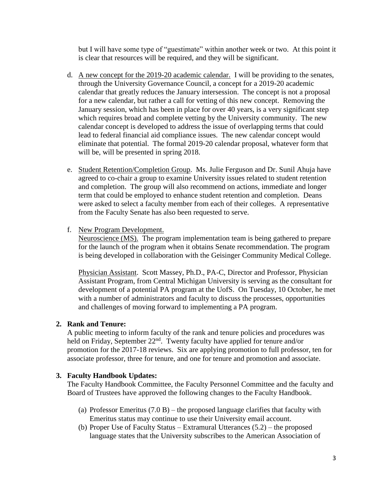but I will have some type of "guestimate" within another week or two. At this point it is clear that resources will be required, and they will be significant.

- d. A new concept for the 2019-20 academic calendar. I will be providing to the senates, through the University Governance Council, a concept for a 2019-20 academic calendar that greatly reduces the January intersession. The concept is not a proposal for a new calendar, but rather a call for vetting of this new concept. Removing the January session, which has been in place for over 40 years, is a very significant step which requires broad and complete vetting by the University community. The new calendar concept is developed to address the issue of overlapping terms that could lead to federal financial aid compliance issues. The new calendar concept would eliminate that potential. The formal 2019-20 calendar proposal, whatever form that will be, will be presented in spring 2018.
- e. Student Retention/Completion Group. Ms. Julie Ferguson and Dr. Sunil Ahuja have agreed to co-chair a group to examine University issues related to student retention and completion. The group will also recommend on actions, immediate and longer term that could be employed to enhance student retention and completion. Deans were asked to select a faculty member from each of their colleges. A representative from the Faculty Senate has also been requested to serve.
- f. New Program Development.

Neuroscience (MS). The program implementation team is being gathered to prepare for the launch of the program when it obtains Senate recommendation. The program is being developed in collaboration with the Geisinger Community Medical College.

Physician Assistant. Scott Massey, Ph.D., PA-C, Director and Professor, Physician Assistant Program, from Central Michigan University is serving as the consultant for development of a potential PA program at the UofS. On Tuesday, 10 October, he met with a number of administrators and faculty to discuss the processes, opportunities and challenges of moving forward to implementing a PA program.

#### **2. Rank and Tenure:**

A public meeting to inform faculty of the rank and tenure policies and procedures was held on Friday, September  $22<sup>nd</sup>$ . Twenty faculty have applied for tenure and/or promotion for the 2017-18 reviews. Six are applying promotion to full professor, ten for associate professor, three for tenure, and one for tenure and promotion and associate.

#### **3. Faculty Handbook Updates:**

The Faculty Handbook Committee, the Faculty Personnel Committee and the faculty and Board of Trustees have approved the following changes to the Faculty Handbook.

- (a) Professor Emeritus  $(7.0 B)$  the proposed language clarifies that faculty with Emeritus status may continue to use their University email account.
- (b) Proper Use of Faculty Status Extramural Utterances (5.2) the proposed language states that the University subscribes to the American Association of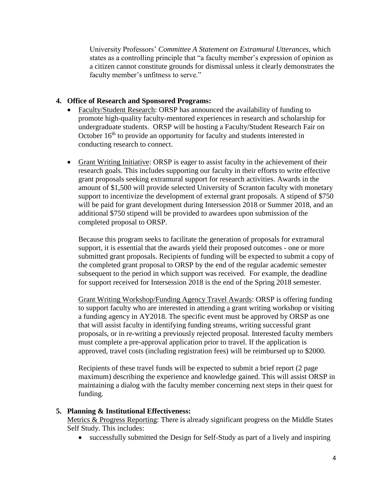University Professors' *Committee A Statement on Extramural Utterances,* which states as a controlling principle that "a faculty member's expression of opinion as a citizen cannot constitute grounds for dismissal unless it clearly demonstrates the faculty member's unfitness to serve."

## **4. Office of Research and Sponsored Programs:**

- Faculty/Student Research: ORSP has announced the availability of funding to promote high-quality faculty-mentored experiences in research and scholarship for undergraduate students. ORSP will be hosting a Faculty/Student Research Fair on October  $16<sup>th</sup>$  to provide an opportunity for faculty and students interested in conducting research to connect.
- Grant Writing Initiative: ORSP is eager to assist faculty in the achievement of their research goals. This includes supporting our faculty in their efforts to write effective grant proposals seeking extramural support for research activities. Awards in the amount of \$1,500 will provide selected University of Scranton faculty with monetary support to incentivize the development of external grant proposals. A stipend of \$750 will be paid for grant development during Intersession 2018 or Summer 2018, and an additional \$750 stipend will be provided to awardees upon submission of the completed proposal to ORSP.

Because this program seeks to facilitate the generation of proposals for extramural support, it is essential that the awards yield their proposed outcomes - one or more submitted grant proposals. Recipients of funding will be expected to submit a copy of the completed grant proposal to ORSP by the end of the regular academic semester subsequent to the period in which support was received. For example, the deadline for support received for Intersession 2018 is the end of the Spring 2018 semester.

Grant Writing Workshop/Funding Agency Travel Awards: ORSP is offering funding to support faculty who are interested in attending a grant writing workshop or visiting a funding agency in AY2018. The specific event must be approved by ORSP as one that will assist faculty in identifying funding streams, writing successful grant proposals, or in re-writing a previously rejected proposal. Interested faculty members must complete a pre-approval application prior to travel. If the application is approved, travel costs (including registration fees) will be reimbursed up to \$2000.

Recipients of these travel funds will be expected to submit a brief report (2 page maximum) describing the experience and knowledge gained. This will assist ORSP in maintaining a dialog with the faculty member concerning next steps in their quest for funding.

#### **5. Planning & Institutional Effectiveness:**

Metrics & Progress Reporting: There is already significant progress on the Middle States Self Study. This includes:

successfully submitted the Design for Self-Study as part of a lively and inspiring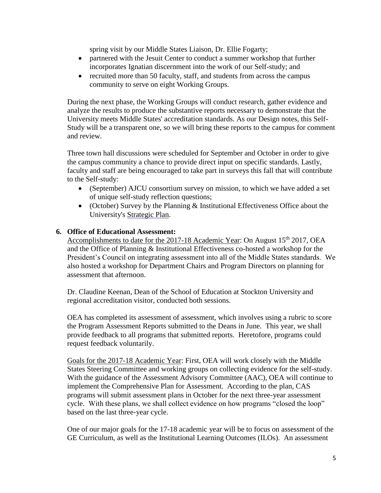spring visit by our Middle States Liaison, Dr. Ellie Fogarty;

- partnered with the Jesuit Center to conduct a summer workshop that further incorporates Ignatian discernment into the work of our Self-study; and
- recruited more than 50 faculty, staff, and students from across the campus community to serve on eight Working Groups.

During the next phase, the Working Groups will conduct research, gather evidence and analyze the results to produce the substantive reports necessary to demonstrate that the University meets Middle States' accreditation standards. As our Design notes, this Self-Study will be a transparent one, so we will bring these reports to the campus for comment and review.

Three town hall discussions were scheduled for September and October in order to give the campus community a chance to provide direct input on specific standards. Lastly, faculty and staff are being encouraged to take part in surveys this fall that will contribute to the Self-study:

- (September) AJCU consortium survey on mission, to which we have added a set of unique self-study reflection questions;
- (October) Survey by the Planning & Institutional Effectiveness Office about the University's [Strategic Plan.](http://www.scranton.edu/strategicplan)

#### **6. Office of Educational Assessment:**

Accomplishments to date for the 2017-18 Academic Year: On August 15<sup>th</sup> 2017, OEA and the Office of Planning & Institutional Effectiveness co-hosted a workshop for the President's Council on integrating assessment into all of the Middle States standards. We also hosted a workshop for Department Chairs and Program Directors on planning for assessment that afternoon.

Dr. Claudine Keenan, Dean of the School of Education at Stockton University and regional accreditation visitor, conducted both sessions.

OEA has completed its assessment of assessment, which involves using a rubric to score the Program Assessment Reports submitted to the Deans in June. This year, we shall provide feedback to all programs that submitted reports. Heretofore, programs could request feedback voluntarily.

Goals for the 2017-18 Academic Year: First, OEA will work closely with the Middle States Steering Committee and working groups on collecting evidence for the self-study. With the guidance of the Assessment Advisory Committee (AAC), OEA will continue to implement the Comprehensive Plan for Assessment. According to the plan, CAS programs will submit assessment plans in October for the next three-year assessment cycle. With these plans, we shall collect evidence on how programs "closed the loop" based on the last three-year cycle.

One of our major goals for the 17-18 academic year will be to focus on assessment of the GE Curriculum, as well as the Institutional Learning Outcomes (ILOs). An assessment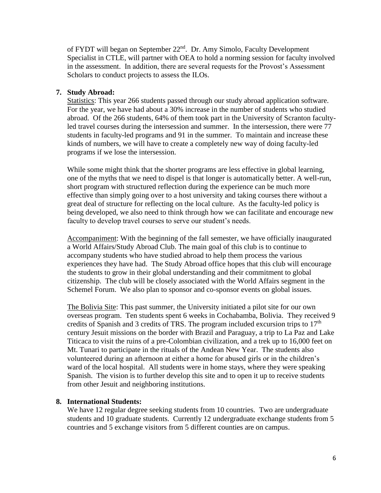of FYDT will began on September 22<sup>nd</sup>. Dr. Amy Simolo, Faculty Development Specialist in CTLE, will partner with OEA to hold a norming session for faculty involved in the assessment. In addition, there are several requests for the Provost's Assessment Scholars to conduct projects to assess the ILOs.

## **7. Study Abroad:**

Statistics: This year 266 students passed through our study abroad application software. For the year, we have had about a 30% increase in the number of students who studied abroad. Of the 266 students, 64% of them took part in the University of Scranton facultyled travel courses during the intersession and summer. In the intersession, there were 77 students in faculty-led programs and 91 in the summer. To maintain and increase these kinds of numbers, we will have to create a completely new way of doing faculty-led programs if we lose the intersession.

While some might think that the shorter programs are less effective in global learning, one of the myths that we need to dispel is that longer is automatically better. A well-run, short program with structured reflection during the experience can be much more effective than simply going over to a host university and taking courses there without a great deal of structure for reflecting on the local culture. As the faculty-led policy is being developed, we also need to think through how we can facilitate and encourage new faculty to develop travel courses to serve our student's needs.

Accompaniment: With the beginning of the fall semester, we have officially inaugurated a World Affairs/Study Abroad Club. The main goal of this club is to continue to accompany students who have studied abroad to help them process the various experiences they have had. The Study Abroad office hopes that this club will encourage the students to grow in their global understanding and their commitment to global citizenship. The club will be closely associated with the World Affairs segment in the Schemel Forum. We also plan to sponsor and co-sponsor events on global issues.

The Bolivia Site: This past summer, the University initiated a pilot site for our own overseas program. Ten students spent 6 weeks in Cochabamba, Bolivia. They received 9 credits of Spanish and 3 credits of TRS. The program included excursion trips to  $17<sup>th</sup>$ century Jesuit missions on the border with Brazil and Paraguay, a trip to La Paz and Lake Titicaca to visit the ruins of a pre-Colombian civilization, and a trek up to 16,000 feet on Mt. Tunari to participate in the rituals of the Andean New Year. The students also volunteered during an afternoon at either a home for abused girls or in the children's ward of the local hospital. All students were in home stays, where they were speaking Spanish. The vision is to further develop this site and to open it up to receive students from other Jesuit and neighboring institutions.

#### **8. International Students:**

We have 12 regular degree seeking students from 10 countries. Two are undergraduate students and 10 graduate students. Currently 12 undergraduate exchange students from 5 countries and 5 exchange visitors from 5 different counties are on campus.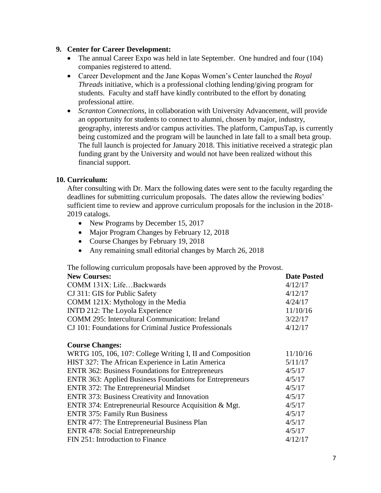## **9. Center for Career Development:**

- The annual Career Expo was held in late September. One hundred and four (104) companies registered to attend.
- Career Development and the Jane Kopas Women's Center launched the *Royal Threads* initiative, which is a professional clothing lending/giving program for students. Faculty and staff have kindly contributed to the effort by donating professional attire.
- *Scranton Connections*, in collaboration with University Advancement, will provide an opportunity for students to connect to alumni, chosen by major, industry, geography, interests and/or campus activities. The platform, CampusTap, is currently being customized and the program will be launched in late fall to a small beta group. The full launch is projected for January 2018. This initiative received a strategic plan funding grant by the University and would not have been realized without this financial support.

## **10. Curriculum:**

After consulting with Dr. Marx the following dates were sent to the faculty regarding the deadlines for submitting curriculum proposals. The dates allow the reviewing bodies' sufficient time to review and approve curriculum proposals for the inclusion in the 2018- 2019 catalogs.

- New Programs by December 15, 2017
- Major Program Changes by February 12, 2018
- Course Changes by February 19, 2018
- Any remaining small editorial changes by March 26, 2018

The following curriculum proposals have been approved by the Provost.

| <b>New Courses:</b>                                             | <b>Date Posted</b> |
|-----------------------------------------------------------------|--------------------|
| COMM 131X: LifeBackwards                                        | 4/12/17            |
| CJ 311: GIS for Public Safety                                   | 4/12/17            |
| COMM 121X: Mythology in the Media                               | 4/24/17            |
| INTD 212: The Loyola Experience                                 | 11/10/16           |
| <b>COMM 295: Intercultural Communication: Ireland</b>           | 3/22/17            |
| CJ 101: Foundations for Criminal Justice Professionals          | 4/12/17            |
| <b>Course Changes:</b>                                          |                    |
| WRTG 105, 106, 107: College Writing I, II and Composition       | 11/10/16           |
| HIST 327: The African Experience in Latin America               | 5/11/17            |
| <b>ENTR 362: Business Foundations for Entrepreneurs</b>         | 4/5/17             |
| <b>ENTR 363: Applied Business Foundations for Entrepreneurs</b> | 4/5/17             |
| <b>ENTR 372: The Entrepreneurial Mindset</b>                    | 4/5/17             |
| <b>ENTR 373: Business Creativity and Innovation</b>             | 4/5/17             |
| ENTR 374: Entrepreneurial Resource Acquisition & Mgt.           | 4/5/17             |
| <b>ENTR 375: Family Run Business</b>                            | 4/5/17             |
| <b>ENTR</b> 477: The Entrepreneurial Business Plan              | 4/5/17             |

ENTR 478: Social Entrepreneurship 4/5/17 FIN 251: Introduction to Finance 4/12/17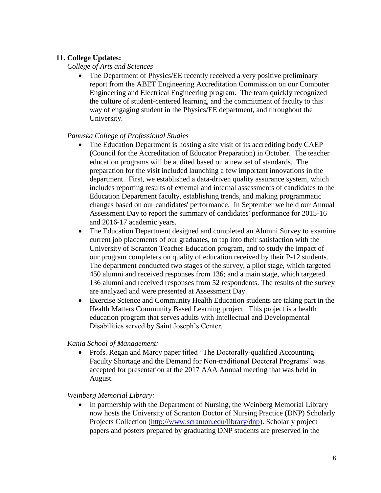# **11. College Updates:**

## *College of Arts and Sciences*

• The Department of Physics/EE recently received a very positive preliminary report from the ABET Engineering Accreditation Commission on our Computer Engineering and Electrical Engineering program. The team quickly recognized the culture of student-centered learning, and the commitment of faculty to this way of engaging student in the Physics/EE department, and throughout the University.

## *Panuska College of Professional Studies*

- The Education Department is hosting a site visit of its accrediting body CAEP (Council for the Accreditation of Educator Preparation) in October. The teacher education programs will be audited based on a new set of standards. The preparation for the visit included launching a few important innovations in the department. First, we established a data-driven quality assurance system, which includes reporting results of external and internal assessments of candidates to the Education Department faculty, establishing trends, and making programmatic changes based on our candidates' performance. In September we held our Annual Assessment Day to report the summary of candidates' performance for 2015-16 and 2016-17 academic years.
- The Education Department designed and completed an Alumni Survey to examine current job placements of our graduates, to tap into their satisfaction with the University of Scranton Teacher Education program, and to study the impact of our program completers on quality of education received by their P-12 students. The department conducted two stages of the survey, a pilot stage, which targeted 450 alumni and received responses from 136; and a main stage, which targeted 136 alumni and received responses from 52 respondents. The results of the survey are analyzed and were presented at Assessment Day.
- Exercise Science and Community Health Education students are taking part in the Health Matters Community Based Learning project. This project is a health education program that serves adults with Intellectual and Developmental Disabilities served by Saint Joseph's Center.

*Kania School of Management:*

• Profs. Regan and Marcy paper titled "The Doctorally-qualified Accounting" Faculty Shortage and the Demand for Non-traditional Doctoral Programs" was accepted for presentation at the 2017 AAA Annual meeting that was held in August.

*Weinberg Memorial Library:*

• In partnership with the Department of Nursing, the Weinberg Memorial Library now hosts the University of Scranton Doctor of Nursing Practice (DNP) Scholarly Projects Collection [\(http://www.scranton.edu/library/dnp\)](http://www.scranton.edu/library/dnp). Scholarly project papers and posters prepared by graduating DNP students are preserved in the